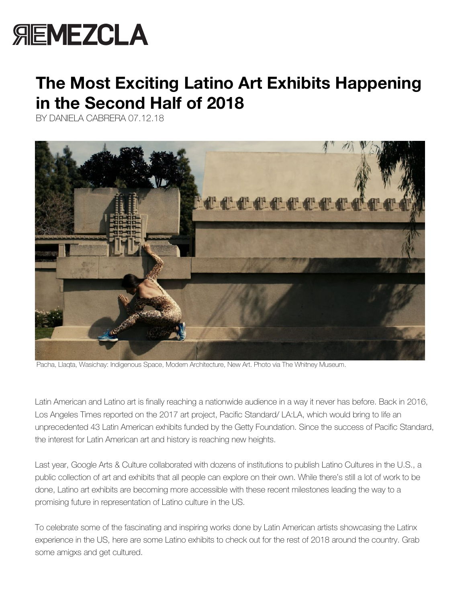

## **The Most Exciting Latino Art Exhibits Happening in the Second Half of 2018**

BY DANIELA CABRERA 07.12.18



Pacha, Llaqta, Wasichay: Indigenous Space, Modern Architecture, New Art. Photo via The Whitney Museum.

Latin American and Latino art is finally reaching a nationwide audience in a way it never has before. Back in 2016, Los Angeles Times reported on the 2017 art project, Pacific Standard/ LA:LA, which would bring to life an unprecedented 43 Latin American exhibits funded by the Getty Foundation. Since the success of Pacific Standard, the interest for Latin American art and history is reaching new heights.

Last year, Google Arts & Culture collaborated with dozens of institutions to publish Latino Cultures in the U.S., a public collection of art and exhibits that all people can explore on their own. While there's still a lot of work to be done, Latino art exhibits are becoming more accessible with these recent milestones leading the way to a promising future in representation of Latino culture in the US.

To celebrate some of the fascinating and inspiring works done by Latin American artists showcasing the Latinx experience in the US, here are some Latino exhibits to check out for the rest of 2018 around the country. Grab [some amigxs and get cultured.](https://remezcla.com/lists/culture/getty-foundation-grants-for-latino-art-southern-california/)